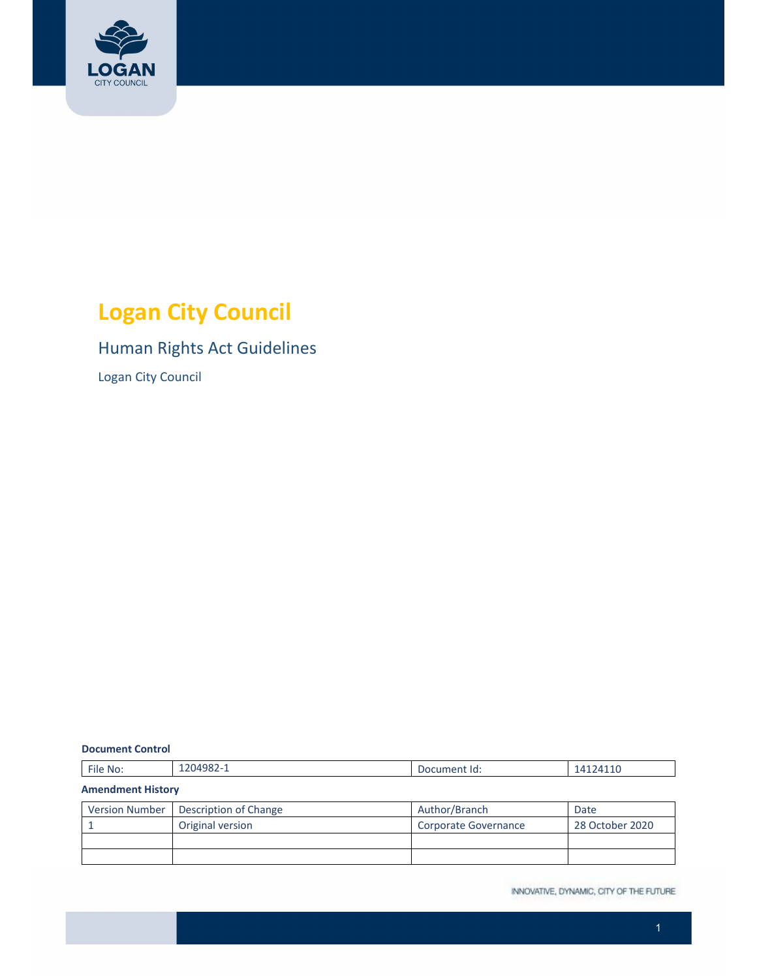

# **Logan City Council**

# Human Rights Act Guidelines

Logan City Council

#### **Document Control**

| File No:                 | 1204982-1             | Document Id:         | 14124110        |  |  |
|--------------------------|-----------------------|----------------------|-----------------|--|--|
| <b>Amendment History</b> |                       |                      |                 |  |  |
| <b>Version Number</b>    | Description of Change | Author/Branch        | Date            |  |  |
|                          | Original version      | Corporate Governance | 28 October 2020 |  |  |
|                          |                       |                      |                 |  |  |
|                          |                       |                      |                 |  |  |

INNOVATIVE, DYNAMIC, CITY OF THE FUTURE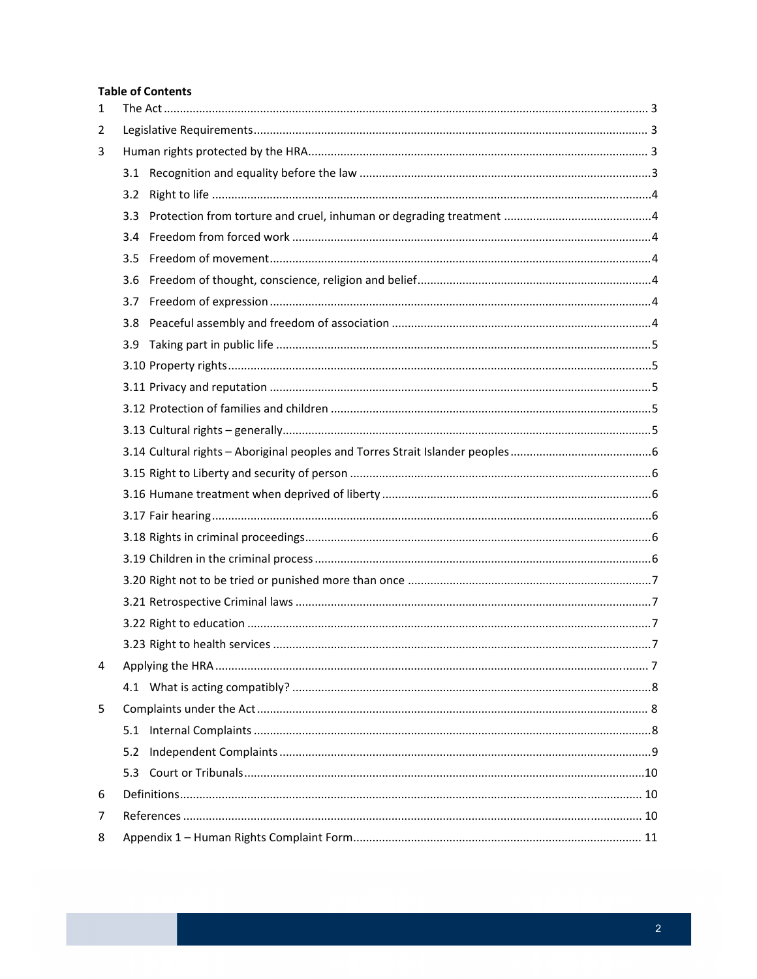#### **Table of Contents**

| $\mathbf{1}$ |     |  |  |
|--------------|-----|--|--|
| 2            |     |  |  |
| 3            |     |  |  |
|              |     |  |  |
|              | 3.2 |  |  |
|              |     |  |  |
|              | 3.4 |  |  |
|              | 3.5 |  |  |
|              | 3.6 |  |  |
|              | 3.7 |  |  |
|              | 3.8 |  |  |
|              |     |  |  |
|              |     |  |  |
|              |     |  |  |
|              |     |  |  |
|              |     |  |  |
|              |     |  |  |
|              |     |  |  |
|              |     |  |  |
|              |     |  |  |
|              |     |  |  |
|              |     |  |  |
|              |     |  |  |
|              |     |  |  |
|              |     |  |  |
|              |     |  |  |
| 4            |     |  |  |
|              |     |  |  |
| 5            |     |  |  |
|              |     |  |  |
|              | 5.2 |  |  |
|              | 5.3 |  |  |
| 6            |     |  |  |
| 7            |     |  |  |
| 8            |     |  |  |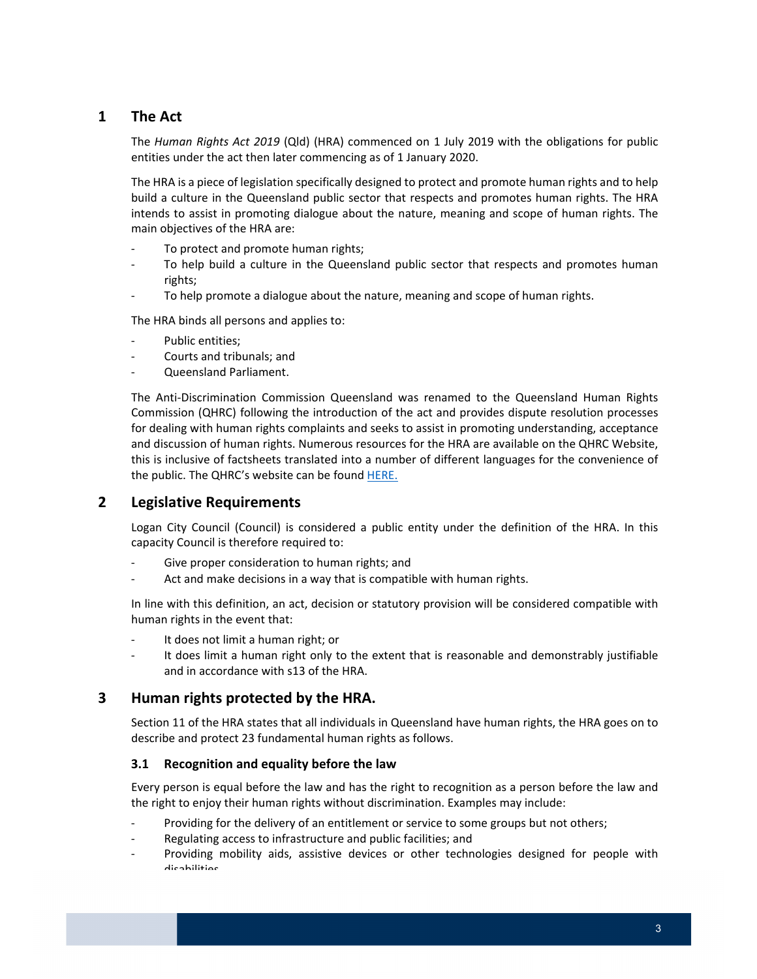# **1 The Act**

 The *Human Rights Act 2019* (Qld) (HRA) commenced on 1 July 2019 with the obligations for public entities under the act then later commencing as of 1 January 2020.

 The HRA is a piece of legislation specifically designed to protect and promote human rights and to help build a culture in the Queensland public sector that respects and promotes human rights. The HRA intends to assist in promoting dialogue about the nature, meaning and scope of human rights. The main objectives of the HRA are:

- ‐ To protect and promote human rights;
- ‐ To help build a culture in the Queensland public sector that respects and promotes human rights;
- ‐ To help promote a dialogue about the nature, meaning and scope of human rights.

The HRA binds all persons and applies to:

- ‐ Public entities;
- ‐ Courts and tribunals; and
- ‐ Queensland Parliament.

 The Anti‐Discrimination Commission Queensland was renamed to the Queensland Human Rights Commission (QHRC) following the introduction of the act and provides dispute resolution processes for dealing with human rights complaints and seeks to assist in promoting understanding, acceptance and discussion of human rights. Numerous resources for the HRA are available on the QHRC Website, this is inclusive of factsheets translated into a number of different languages for the convenience of the public. The QHRC's website can be found HERE.

# **2 Legislative Requirements**

 Logan City Council (Council) is considered a public entity under the definition of the HRA. In this capacity Council is therefore required to:

- ‐ Give proper consideration to human rights; and
- ‐ Act and make decisions in a way that is compatible with human rights.

 In line with this definition, an act, decision or statutory provision will be considered compatible with human rights in the event that:

- ‐ It does not limit a human right; or
- ‐ It does limit a human right only to the extent that is reasonable and demonstrably justifiable and in accordance with s13 of the HRA.

# **3 Human rights protected by the HRA.**

 Section 11 of the HRA states that all individuals in Queensland have human rights, the HRA goes on to describe and protect 23 fundamental human rights as follows.

## **3.1 Recognition and equality before the law**

 Every person is equal before the law and has the right to recognition as a person before the law and the right to enjoy their human rights without discrimination. Examples may include:

- ‐ Providing for the delivery of an entitlement or service to some groups but not others;
- ‐ Regulating access to infrastructure and public facilities; and
- ‐ Providing mobility aids, assistive devices or other technologies designed for people with disabilities.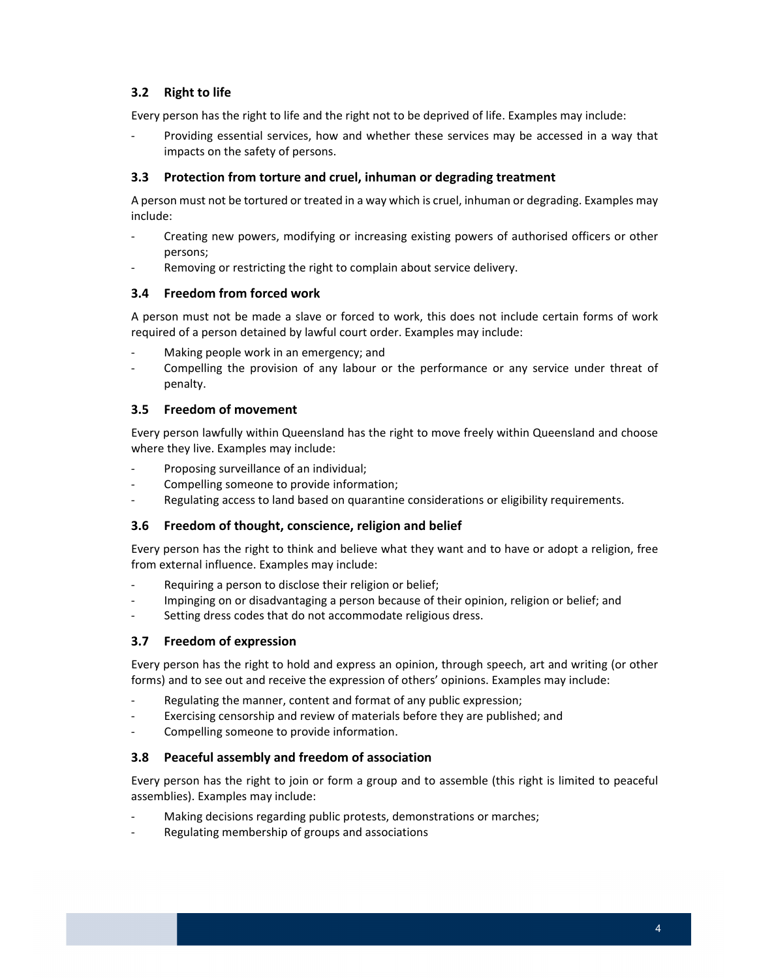# **3.2 Right to life**

Every person has the right to life and the right not to be deprived of life. Examples may include:

 ‐ Providing essential services, how and whether these services may be accessed in a way that impacts on the safety of persons.

# **3.3 Protection from torture and cruel, inhuman or degrading treatment**

 A person must not be tortured or treated in a way which is cruel, inhuman or degrading. Examples may include:

- ‐ Creating new powers, modifying or increasing existing powers of authorised officers or other persons;
- ‐ Removing or restricting the right to complain about service delivery.

# **3.4 Freedom from forced work**

 A person must not be made a slave or forced to work, this does not include certain forms of work required of a person detained by lawful court order. Examples may include:

- ‐ Making people work in an emergency; and
- ‐ Compelling the provision of any labour or the performance or any service under threat of penalty.

# **3.5 Freedom of movement**

 Every person lawfully within Queensland has the right to move freely within Queensland and choose where they live. Examples may include:

- ‐ Proposing surveillance of an individual;
- ‐ Compelling someone to provide information;
- ‐ Regulating access to land based on quarantine considerations or eligibility requirements.

#### **3.6 Freedom of thought, conscience, religion and belief**

 Every person has the right to think and believe what they want and to have or adopt a religion, free from external influence. Examples may include:

- ‐ Requiring a person to disclose their religion or belief;
- ‐ Impinging on or disadvantaging a person because of their opinion, religion or belief; and
- ‐ Setting dress codes that do not accommodate religious dress.

#### **3.7 Freedom of expression**

 Every person has the right to hold and express an opinion, through speech, art and writing (or other forms) and to see out and receive the expression of others' opinions. Examples may include:

- ‐ Regulating the manner, content and format of any public expression;
- ‐ Exercising censorship and review of materials before they are published; and
- ‐ Compelling someone to provide information.

#### **3.8 Peaceful assembly and freedom of association**

 Every person has the right to join or form a group and to assemble (this right is limited to peaceful assemblies). Examples may include:

- ‐ Making decisions regarding public protests, demonstrations or marches;
- ‐ Regulating membership of groups and associations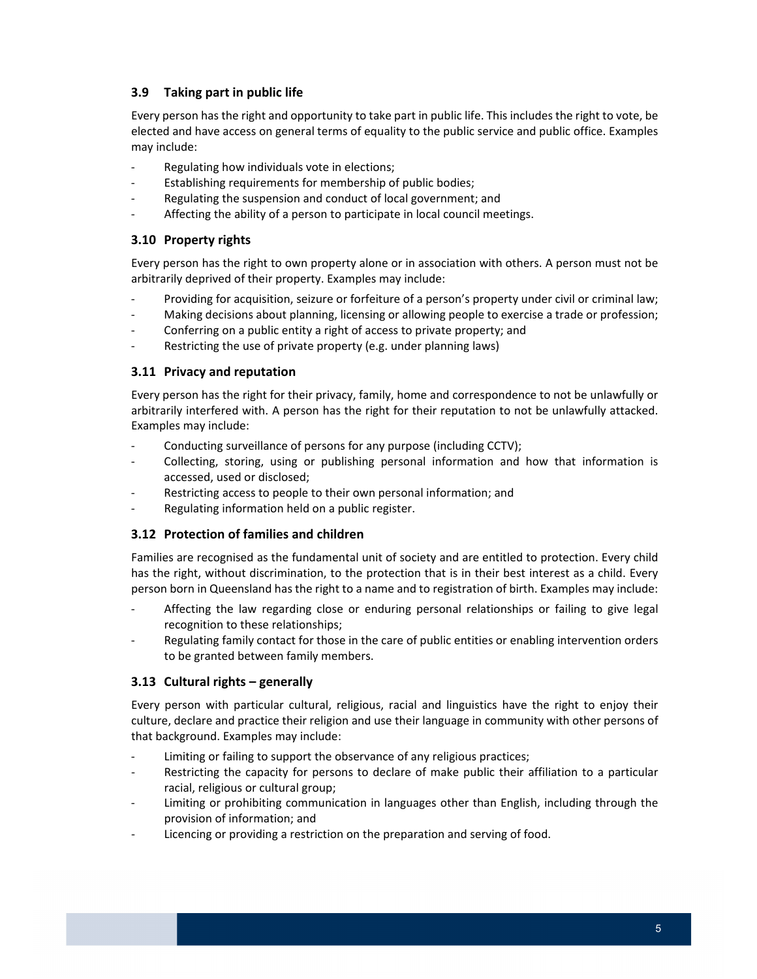# **3.9 Taking part in public life**

 Every person has the right and opportunity to take part in public life. This includes the right to vote, be elected and have access on general terms of equality to the public service and public office. Examples may include:

- ‐ Regulating how individuals vote in elections;
- ‐ Establishing requirements for membership of public bodies;
- ‐ Regulating the suspension and conduct of local government; and
- ‐ Affecting the ability of a person to participate in local council meetings.

#### **3.10 Property rights**

 Every person has the right to own property alone or in association with others. A person must not be arbitrarily deprived of their property. Examples may include:

- ‐ Providing for acquisition, seizure or forfeiture of a person's property under civil or criminal law;
- ‐ Making decisions about planning, licensing or allowing people to exercise a trade or profession;
- ‐ Conferring on a public entity a right of access to private property; and
- ‐ Restricting the use of private property (e.g. under planning laws)

#### **3.11 Privacy and reputation**

 Every person has the right for their privacy, family, home and correspondence to not be unlawfully or arbitrarily interfered with. A person has the right for their reputation to not be unlawfully attacked. Examples may include:

- ‐ Conducting surveillance of persons for any purpose (including CCTV);
- ‐ Collecting, storing, using or publishing personal information and how that information is accessed, used or disclosed;
- ‐ Restricting access to people to their own personal information; and
- ‐ Regulating information held on a public register.

# **3.12 Protection of families and children**

 Families are recognised as the fundamental unit of society and are entitled to protection. Every child has the right, without discrimination, to the protection that is in their best interest as a child. Every person born in Queensland has the right to a name and to registration of birth. Examples may include:

- ‐ Affecting the law regarding close or enduring personal relationships or failing to give legal recognition to these relationships;
- ‐ Regulating family contact for those in the care of public entities or enabling intervention orders to be granted between family members.

## **3.13 Cultural rights – generally**

 Every person with particular cultural, religious, racial and linguistics have the right to enjoy their culture, declare and practice their religion and use their language in community with other persons of that background. Examples may include:

- ‐ Limiting or failing to support the observance of any religious practices;
- ‐ Restricting the capacity for persons to declare of make public their affiliation to a particular racial, religious or cultural group;
- ‐ Limiting or prohibiting communication in languages other than English, including through the provision of information; and
- ‐ Licencing or providing a restriction on the preparation and serving of food.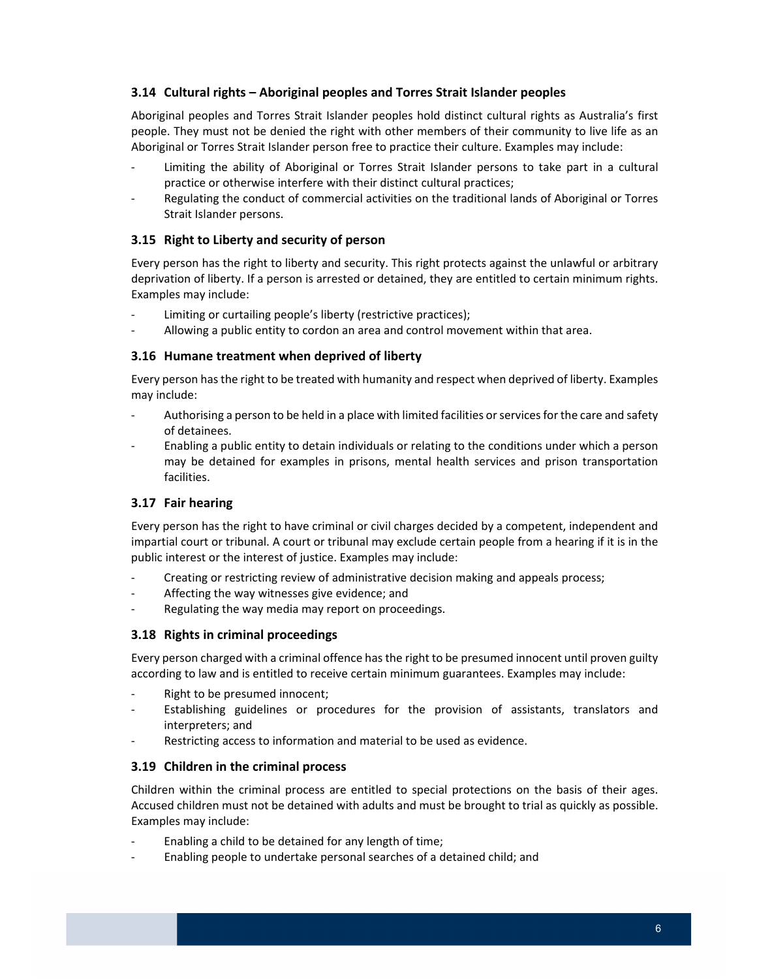## **3.14 Cultural rights – Aboriginal peoples and Torres Strait Islander peoples**

 Aboriginal peoples and Torres Strait Islander peoples hold distinct cultural rights as Australia's first people. They must not be denied the right with other members of their community to live life as an Aboriginal or Torres Strait Islander person free to practice their culture. Examples may include:

- ‐ Limiting the ability of Aboriginal or Torres Strait Islander persons to take part in a cultural practice or otherwise interfere with their distinct cultural practices;
- ‐ Regulating the conduct of commercial activities on the traditional lands of Aboriginal or Torres Strait Islander persons.

#### **3.15 Right to Liberty and security of person**

 Every person has the right to liberty and security. This right protects against the unlawful or arbitrary deprivation of liberty. If a person is arrested or detained, they are entitled to certain minimum rights. Examples may include:

- ‐ Limiting or curtailing people's liberty (restrictive practices);
- ‐ Allowing a public entity to cordon an area and control movement within that area.

#### **3.16 Humane treatment when deprived of liberty**

 Every person hasthe right to be treated with humanity and respect when deprived of liberty. Examples may include:

- Authorising a person to be held in a place with limited facilities or services for the care and safety of detainees.
- ‐ Enabling a public entity to detain individuals or relating to the conditions under which a person may be detained for examples in prisons, mental health services and prison transportation facilities.

#### **3.17 Fair hearing**

 Every person has the right to have criminal or civil charges decided by a competent, independent and impartial court or tribunal. A court or tribunal may exclude certain people from a hearing if it is in the public interest or the interest of justice. Examples may include:

- ‐ Creating or restricting review of administrative decision making and appeals process;
- ‐ Affecting the way witnesses give evidence; and
- ‐ Regulating the way media may report on proceedings.

#### **3.18 Rights in criminal proceedings**

 Every person charged with a criminal offence hasthe right to be presumed innocent until proven guilty according to law and is entitled to receive certain minimum guarantees. Examples may include:

- ‐ Right to be presumed innocent;
- ‐ Establishing guidelines or procedures for the provision of assistants, translators and interpreters; and
- ‐ Restricting access to information and material to be used as evidence.

#### **3.19 Children in the criminal process**

 Children within the criminal process are entitled to special protections on the basis of their ages. Accused children must not be detained with adults and must be brought to trial as quickly as possible. Examples may include:

- ‐ Enabling a child to be detained for any length of time;
- ‐ Enabling people to undertake personal searches of a detained child; and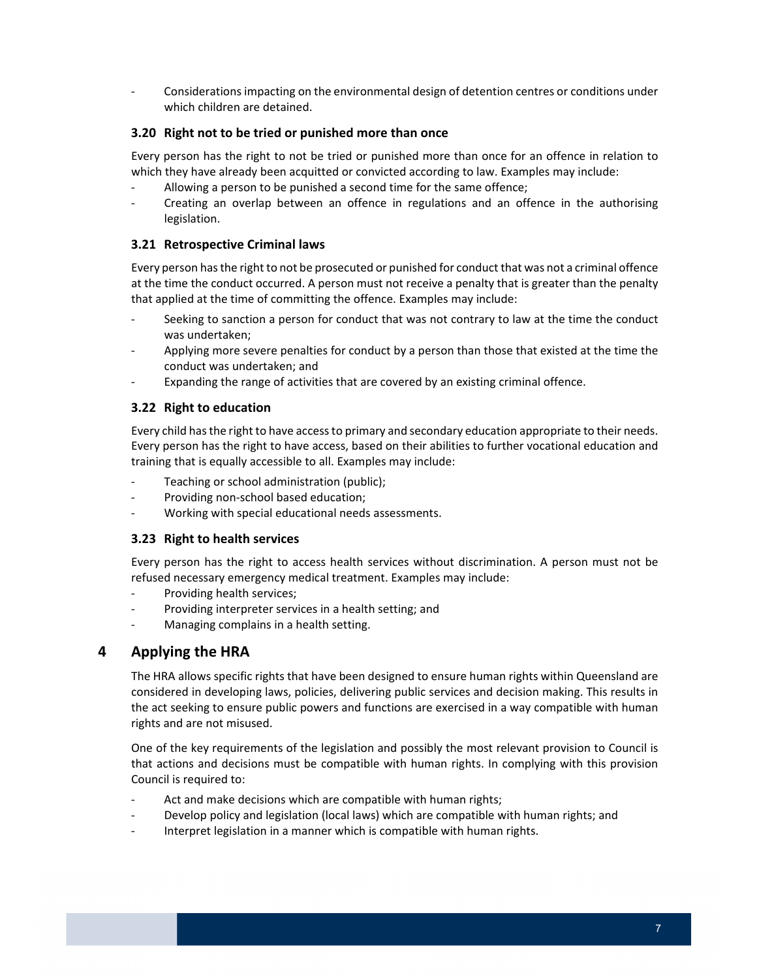‐ Considerations impacting on the environmental design of detention centres or conditions under which children are detained.

# **3.20 Right not to be tried or punished more than once**

 Every person has the right to not be tried or punished more than once for an offence in relation to which they have already been acquitted or convicted according to law. Examples may include:

- ‐ Allowing a person to be punished a second time for the same offence;
- ‐ Creating an overlap between an offence in regulations and an offence in the authorising legislation.

# **3.21 Retrospective Criminal laws**

 Every person hasthe right to not be prosecuted or punished for conduct that was not a criminal offence at the time the conduct occurred. A person must not receive a penalty that is greater than the penalty that applied at the time of committing the offence. Examples may include:

- ‐ Seeking to sanction a person for conduct that was not contrary to law at the time the conduct was undertaken;
- ‐ Applying more severe penalties for conduct by a person than those that existed at the time the conduct was undertaken; and
- ‐ Expanding the range of activities that are covered by an existing criminal offence.

# **3.22 Right to education**

 Every child hasthe right to have accessto primary and secondary education appropriate to their needs. training that is equally accessible to all. Examples may include: Every person has the right to have access, based on their abilities to further vocational education and

- ‐ Teaching or school administration (public);
- ‐ Providing non‐school based education;
- ‐ Working with special educational needs assessments.

### **3.23 Right to health services**

 Every person has the right to access health services without discrimination. A person must not be refused necessary emergency medical treatment. Examples may include:

- ‐ Providing health services;
- ‐ Providing interpreter services in a health setting; and
- ‐ Managing complains in a health setting.

# **4 Applying the HRA**

 The HRA allows specific rights that have been designed to ensure human rights within Queensland are considered in developing laws, policies, delivering public services and decision making. This results in the act seeking to ensure public powers and functions are exercised in a way compatible with human rights and are not misused.

 One of the key requirements of the legislation and possibly the most relevant provision to Council is that actions and decisions must be compatible with human rights. In complying with this provision Council is required to:

- ‐ Act and make decisions which are compatible with human rights;
- ‐ Develop policy and legislation (local laws) which are compatible with human rights; and
- ‐ Interpret legislation in a manner which is compatible with human rights.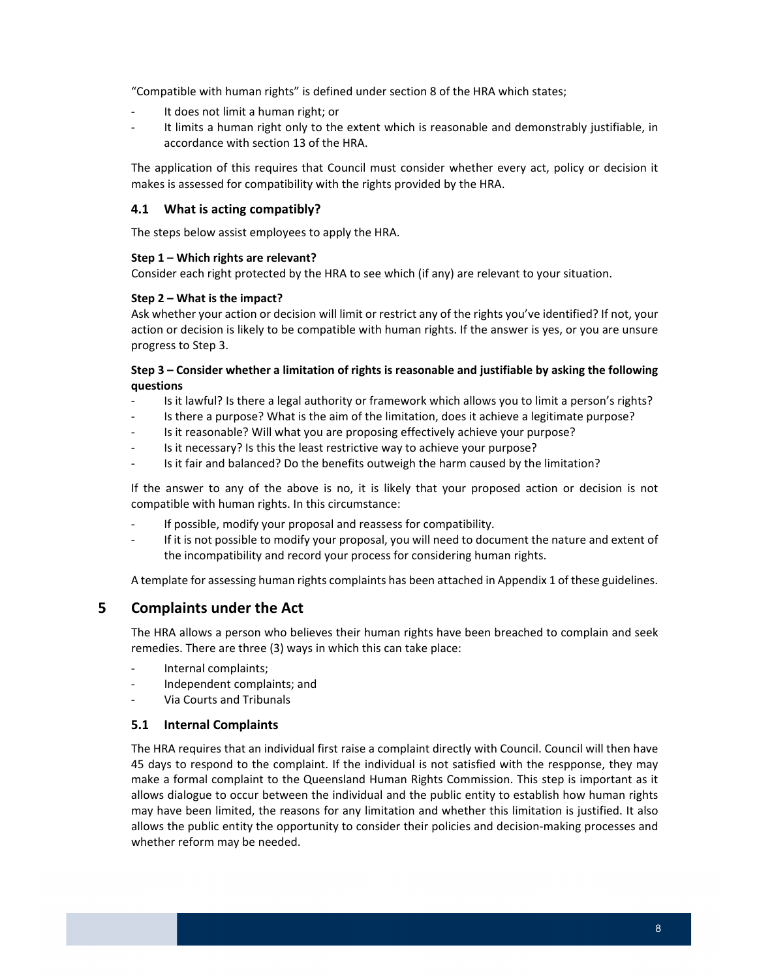"Compatible with human rights" is defined under section 8 of the HRA which states;

- ‐ It does not limit a human right; or
- ‐ It limits a human right only to the extent which is reasonable and demonstrably justifiable, in accordance with section 13 of the HRA.

 The application of this requires that Council must consider whether every act, policy or decision it makes is assessed for compatibility with the rights provided by the HRA.

# **4.1 What is acting compatibly?**

The steps below assist employees to apply the HRA.

#### **Step 1 – Which rights are relevant?**

Consider each right protected by the HRA to see which (if any) are relevant to your situation.

#### **Step 2 – What is the impact?**

 Ask whether your action or decision will limit or restrict any of the rights you've identified? If not, your action or decision is likely to be compatible with human rights. If the answer is yes, or you are unsure progress to Step 3.

#### Step 3 – Consider whether a limitation of rights is reasonable and justifiable by asking the following **questions**

- ‐ Is it lawful? Is there a legal authority or framework which allows you to limit a person's rights?
- ‐ Is there a purpose? What is the aim of the limitation, does it achieve a legitimate purpose?
- ‐ Is it reasonable? Will what you are proposing effectively achieve your purpose?
- ‐ Is it necessary? Is this the least restrictive way to achieve your purpose?
- ‐ Is it fair and balanced? Do the benefits outweigh the harm caused by the limitation?

 If the answer to any of the above is no, it is likely that your proposed action or decision is not compatible with human rights. In this circumstance:

- ‐ If possible, modify your proposal and reassess for compatibility.
- ‐ If it is not possible to modify your proposal, you will need to document the nature and extent of the incompatibility and record your process for considering human rights.

A template for assessing human rights complaints has been attached in Appendix 1 of these guidelines.

# **5 Complaints under the Act**

 The HRA allows a person who believes their human rights have been breached to complain and seek remedies. There are three (3) ways in which this can take place:

- ‐ Internal complaints;
- ‐ Independent complaints; and
- ‐ Via Courts and Tribunals

# **5.1 Internal Complaints**

 The HRA requires that an individual first raise a complaint directly with Council. Council will then have 45 days to respond to the complaint. If the individual is not satisfied with the respponse, they may make a formal complaint to the Queensland Human Rights Commission. This step is important as it allows dialogue to occur between the individual and the public entity to establish how human rights may have been limited, the reasons for any limitation and whether this limitation is justified. It also allows the public entity the opportunity to consider their policies and decision‐making processes and whether reform may be needed.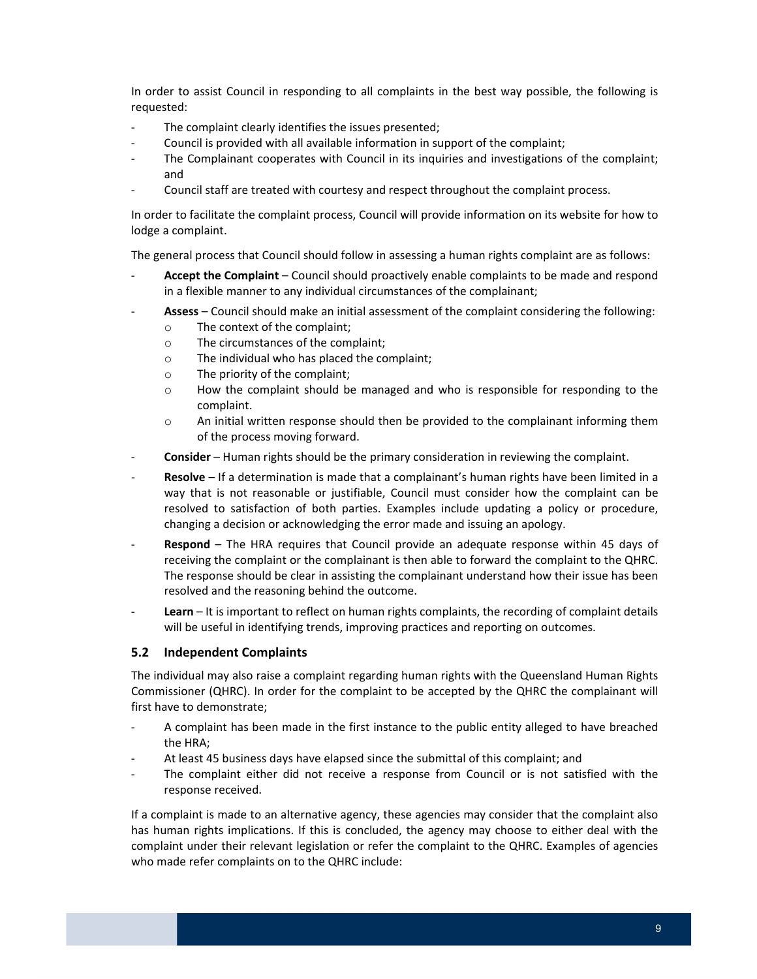In order to assist Council in responding to all complaints in the best way possible, the following is requested:

- ‐ The complaint clearly identifies the issues presented;
- ‐ Council is provided with all available information in support of the complaint;
- ‐ The Complainant cooperates with Council in its inquiries and investigations of the complaint; and
- ‐ Council staff are treated with courtesy and respect throughout the complaint process.

 In order to facilitate the complaint process, Council will provide information on its website for how to lodge a complaint.

The general process that Council should follow in assessing a human rights complaint are as follows:

- ‐ **Accept the Complaint** Council should proactively enable complaints to be made and respond in a flexible manner to any individual circumstances of the complainant;
- ‐ **Assess** Council should make an initial assessment of the complaint considering the following:
	- o The context of the complaint;
	- o The circumstances of the complaint;
	- o The individual who has placed the complaint;
	- o The priority of the complaint;
	- $\circ$  How the complaint should be managed and who is responsible for responding to the complaint.
	- $\circ$  An initial written response should then be provided to the complainant informing them of the process moving forward.
- ‐ **Consider** Human rights should be the primary consideration in reviewing the complaint.
- ‐ **Resolve** If a determination is made that a complainant's human rights have been limited in a way that is not reasonable or justifiable, Council must consider how the complaint can be resolved to satisfaction of both parties. Examples include updating a policy or procedure, changing a decision or acknowledging the error made and issuing an apology.
- ‐ **Respond** The HRA requires that Council provide an adequate response within 45 days of receiving the complaint or the complainant is then able to forward the complaint to the QHRC. The response should be clear in assisting the complainant understand how their issue has been resolved and the reasoning behind the outcome.
- ‐ **Learn** It is important to reflect on human rights complaints, the recording of complaint details will be useful in identifying trends, improving practices and reporting on outcomes.

# **5.2 Independent Complaints**

 The individual may also raise a complaint regarding human rights with the Queensland Human Rights Commissioner (QHRC). In order for the complaint to be accepted by the QHRC the complainant will first have to demonstrate;

- ‐ A complaint has been made in the first instance to the public entity alleged to have breached the HRA;
- ‐ At least 45 business days have elapsed since the submittal of this complaint; and
- ‐ The complaint either did not receive a response from Council or is not satisfied with the response received.

 If a complaint is made to an alternative agency, these agencies may consider that the complaint also has human rights implications. If this is concluded, the agency may choose to either deal with the complaint under their relevant legislation or refer the complaint to the QHRC. Examples of agencies who made refer complaints on to the QHRC include: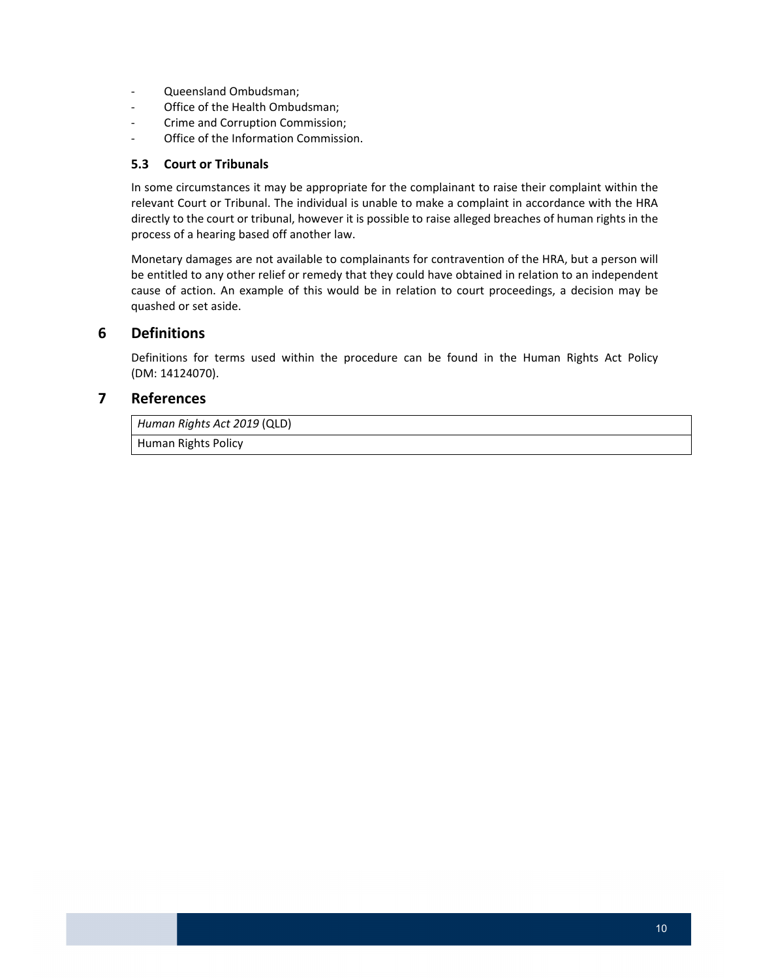- ‐ Queensland Ombudsman;
- ‐ Office of the Health Ombudsman;
- ‐ Crime and Corruption Commission;
- ‐ Office of the Information Commission.

#### **5.3 Court or Tribunals**

 In some circumstances it may be appropriate for the complainant to raise their complaint within the relevant Court or Tribunal. The individual is unable to make a complaint in accordance with the HRA directly to the court or tribunal, however it is possible to raise alleged breaches of human rights in the process of a hearing based off another law.

 Monetary damages are not available to complainants for contravention of the HRA, but a person will be entitled to any other relief or remedy that they could have obtained in relation to an independent cause of action. An example of this would be in relation to court proceedings, a decision may be quashed or set aside.

## **6 Definitions**

 Definitions for terms used within the procedure can be found in the Human Rights Act Policy (DM: 14124070).

# **7 References**

 *Human Rights Act 2019* (QLD)

Human Rights Policy